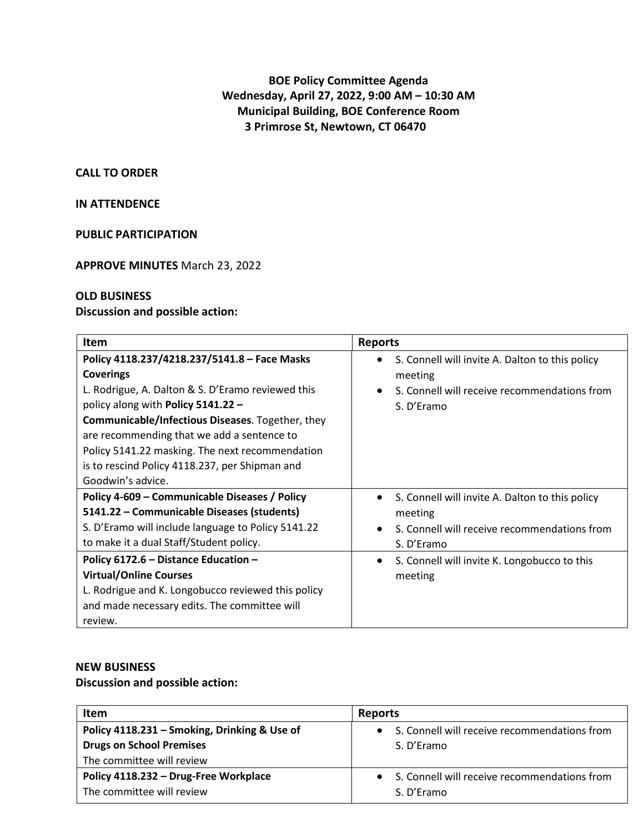# **BOE Policy Committee Agenda Wednesday, April 27, 2022, 9:00 AM – 10:30 AM Municipal Building, BOE Conference Room 3 Primrose St, Newtown, CT 06470**

#### **CALL TO ORDER**

### **IN ATTENDENCE**

### **PUBLIC PARTICIPATION**

### **APPROVE MINUTES** March 23, 2022

# **OLD BUSINESS**

#### **Discussion and possible action:**

| <b>Item</b>                                                                                                                                                                                                                                                                                                                                                                             | <b>Reports</b>                                                                                                                        |
|-----------------------------------------------------------------------------------------------------------------------------------------------------------------------------------------------------------------------------------------------------------------------------------------------------------------------------------------------------------------------------------------|---------------------------------------------------------------------------------------------------------------------------------------|
| Policy 4118.237/4218.237/5141.8 - Face Masks<br><b>Coverings</b><br>L. Rodrigue, A. Dalton & S. D'Eramo reviewed this<br>policy along with Policy 5141.22 -<br>Communicable/Infectious Diseases. Together, they<br>are recommending that we add a sentence to<br>Policy 5141.22 masking. The next recommendation<br>is to rescind Policy 4118.237, per Shipman and<br>Goodwin's advice. | S. Connell will invite A. Dalton to this policy<br>meeting<br>S. Connell will receive recommendations from<br>S. D'Eramo              |
| Policy 4-609 - Communicable Diseases / Policy<br>5141.22 - Communicable Diseases (students)<br>S. D'Eramo will include language to Policy 5141.22<br>to make it a dual Staff/Student policy.                                                                                                                                                                                            | S. Connell will invite A. Dalton to this policy<br>meeting<br>S. Connell will receive recommendations from<br>$\bullet$<br>S. D'Eramo |
| Policy 6172.6 - Distance Education -<br><b>Virtual/Online Courses</b><br>L. Rodrigue and K. Longobucco reviewed this policy<br>and made necessary edits. The committee will<br>review.                                                                                                                                                                                                  | S. Connell will invite K. Longobucco to this<br>$\bullet$<br>meeting                                                                  |

### **NEW BUSINESS**

## **Discussion and possible action:**

| <b>Item</b>                                  | <b>Reports</b>                               |
|----------------------------------------------|----------------------------------------------|
| Policy 4118.231 - Smoking, Drinking & Use of | S. Connell will receive recommendations from |
| <b>Drugs on School Premises</b>              | S. D'Eramo                                   |
| The committee will review                    |                                              |
| Policy 4118.232 - Drug-Free Workplace        | S. Connell will receive recommendations from |
| The committee will review                    | S. D'Eramo                                   |